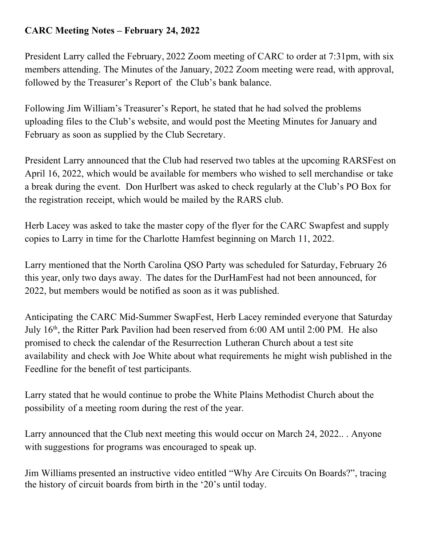## **CARC Meeting Notes – February 24, 2022**

President Larry called the February, 2022 Zoom meeting of CARC to order at 7:31pm, with six members attending. The Minutes of the January, 2022 Zoom meeting were read, with approval, followed by the Treasurer's Report of the Club's bank balance.

Following Jim William's Treasurer's Report, he stated that he had solved the problems uploading files to the Club's website, and would post the Meeting Minutes for January and February as soon as supplied by the Club Secretary.

President Larry announced that the Club had reserved two tables at the upcoming RARSFest on April 16, 2022, which would be available for members who wished to sell merchandise or take a break during the event. Don Hurlbert was asked to check regularly at the Club's PO Box for the registration receipt, which would be mailed by the RARS club.

Herb Lacey was asked to take the master copy of the flyer for the CARC Swapfest and supply copies to Larry in time for the Charlotte Hamfest beginning on March 11, 2022.

Larry mentioned that the North Carolina QSO Party was scheduled for Saturday, February 26 this year, only two days away. The dates for the DurHamFest had not been announced, for 2022, but members would be notified as soon as it was published.

Anticipating the CARC Mid-Summer SwapFest, Herb Lacey reminded everyone that Saturday July 16<sup>th</sup>, the Ritter Park Pavilion had been reserved from 6:00 AM until 2:00 PM. He also promised to check the calendar of the Resurrection Lutheran Church about a test site availability and check with Joe White about what requirements he might wish published in the Feedline for the benefit of test participants.

Larry stated that he would continue to probe the White Plains Methodist Church about the possibility of a meeting room during the rest of the year.

Larry announced that the Club next meeting this would occur on March 24, 2022.. . Anyone with suggestions for programs was encouraged to speak up.

Jim Williams presented an instructive video entitled "Why Are Circuits On Boards?", tracing the history of circuit boards from birth in the '20's until today.